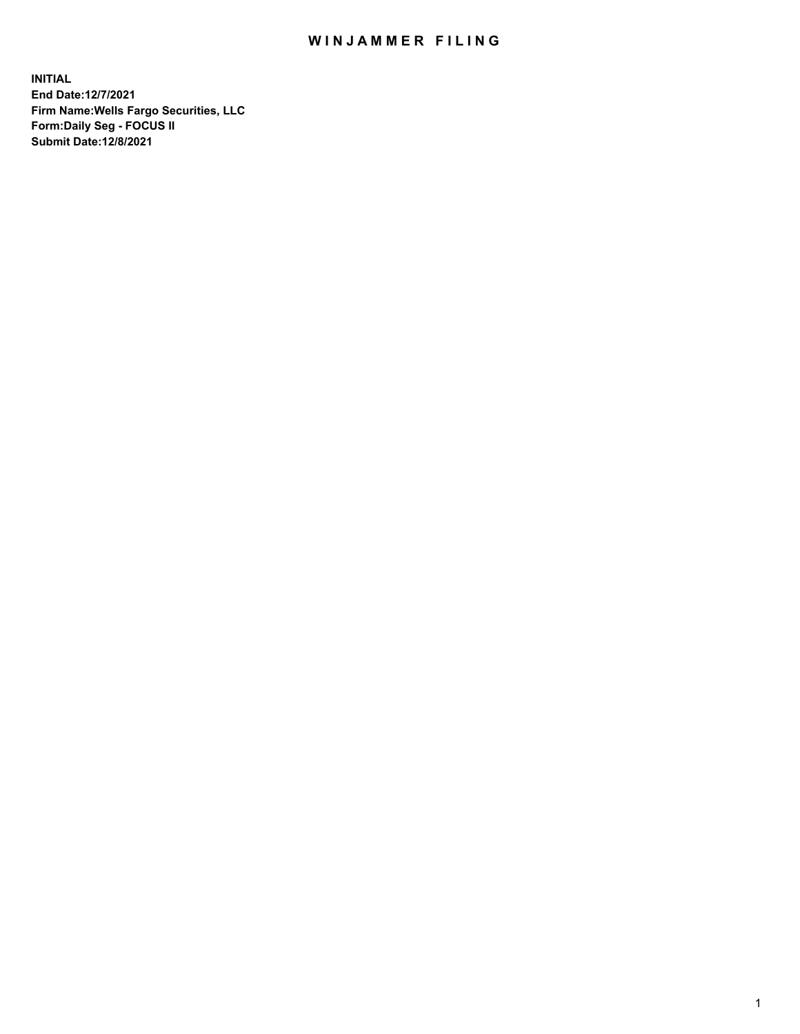## WIN JAMMER FILING

**INITIAL End Date:12/7/2021 Firm Name:Wells Fargo Securities, LLC Form:Daily Seg - FOCUS II Submit Date:12/8/2021**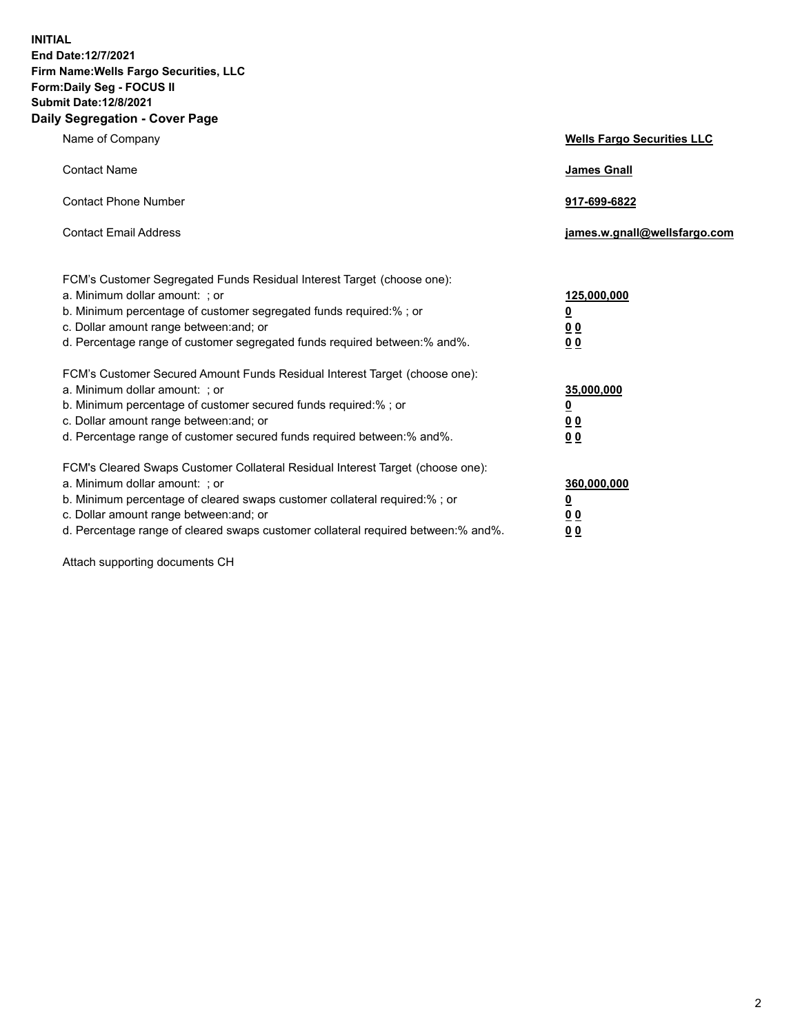**INITIAL End Date:12/7/2021 Firm Name:Wells Fargo Securities, LLC Form:Daily Seg - FOCUS II Submit Date:12/8/2021 Daily Segregation - Cover Page**

| Name of Company                                                                                                                                                                                                                                                                                                                | <b>Wells Fargo Securities LLC</b>                          |
|--------------------------------------------------------------------------------------------------------------------------------------------------------------------------------------------------------------------------------------------------------------------------------------------------------------------------------|------------------------------------------------------------|
| <b>Contact Name</b>                                                                                                                                                                                                                                                                                                            | <b>James Gnall</b>                                         |
| <b>Contact Phone Number</b>                                                                                                                                                                                                                                                                                                    | 917-699-6822                                               |
| <b>Contact Email Address</b>                                                                                                                                                                                                                                                                                                   | james.w.gnall@wellsfargo.com                               |
| FCM's Customer Segregated Funds Residual Interest Target (choose one):<br>a. Minimum dollar amount: ; or<br>b. Minimum percentage of customer segregated funds required:% ; or<br>c. Dollar amount range between: and; or<br>d. Percentage range of customer segregated funds required between:% and%.                         | 125,000,000<br><u>0</u><br>0 <sub>0</sub><br>00            |
| FCM's Customer Secured Amount Funds Residual Interest Target (choose one):<br>a. Minimum dollar amount: ; or<br>b. Minimum percentage of customer secured funds required:%; or<br>c. Dollar amount range between: and; or<br>d. Percentage range of customer secured funds required between:% and%.                            | 35,000,000<br><u>0</u><br>0 <sub>0</sub><br>0 <sub>0</sub> |
| FCM's Cleared Swaps Customer Collateral Residual Interest Target (choose one):<br>a. Minimum dollar amount: ; or<br>b. Minimum percentage of cleared swaps customer collateral required:% ; or<br>c. Dollar amount range between: and; or<br>d. Percentage range of cleared swaps customer collateral required between:% and%. | 360,000,000<br><u>0</u><br>00<br>00                        |

Attach supporting documents CH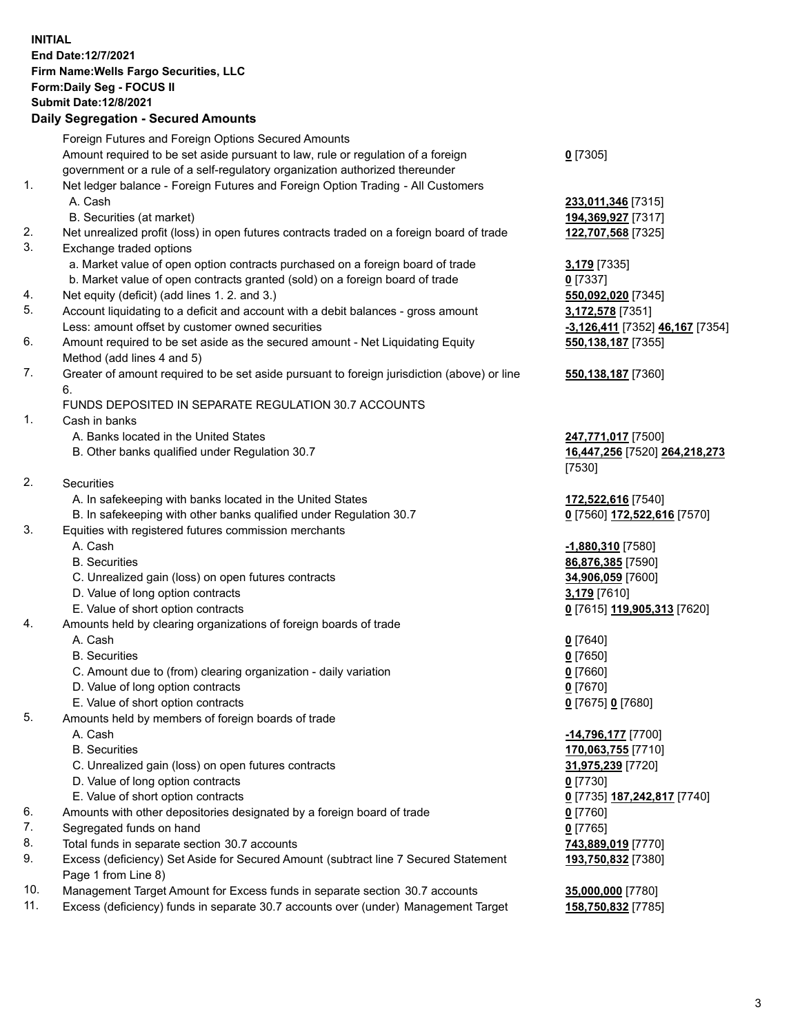**INITIAL End Date:12/7/2021 Firm Name:Wells Fargo Securities, LLC Form:Daily Seg - FOCUS II Submit Date:12/8/2021**

## **Daily Segregation - Secured Amounts**

|     | Foreign Futures and Foreign Options Secured Amounts                                         |                                 |
|-----|---------------------------------------------------------------------------------------------|---------------------------------|
|     | Amount required to be set aside pursuant to law, rule or regulation of a foreign            | $0$ [7305]                      |
|     | government or a rule of a self-regulatory organization authorized thereunder                |                                 |
| 1.  | Net ledger balance - Foreign Futures and Foreign Option Trading - All Customers             |                                 |
|     | A. Cash                                                                                     | 233,011,346 [7315]              |
|     | B. Securities (at market)                                                                   | 194,369,927 [7317]              |
| 2.  | Net unrealized profit (loss) in open futures contracts traded on a foreign board of trade   | 122,707,568 [7325]              |
| 3.  | Exchange traded options                                                                     |                                 |
|     | a. Market value of open option contracts purchased on a foreign board of trade              | 3,179 [7335]                    |
|     | b. Market value of open contracts granted (sold) on a foreign board of trade                | $0$ [7337]                      |
| 4.  | Net equity (deficit) (add lines 1. 2. and 3.)                                               | 550,092,020 [7345]              |
| 5.  | Account liquidating to a deficit and account with a debit balances - gross amount           | 3,172,578 [7351]                |
|     | Less: amount offset by customer owned securities                                            | -3,126,411 [7352] 46,167 [7354] |
| 6.  | Amount required to be set aside as the secured amount - Net Liquidating Equity              | 550,138,187 [7355]              |
|     | Method (add lines 4 and 5)                                                                  |                                 |
| 7.  | Greater of amount required to be set aside pursuant to foreign jurisdiction (above) or line | 550,138,187 [7360]              |
|     | 6.                                                                                          |                                 |
|     | FUNDS DEPOSITED IN SEPARATE REGULATION 30.7 ACCOUNTS                                        |                                 |
| 1.  | Cash in banks                                                                               |                                 |
|     | A. Banks located in the United States                                                       | 247,771,017 [7500]              |
|     | B. Other banks qualified under Regulation 30.7                                              | 16,447,256 [7520] 264,218,273   |
|     |                                                                                             | [7530]                          |
| 2.  | Securities                                                                                  |                                 |
|     | A. In safekeeping with banks located in the United States                                   | 172,522,616 [7540]              |
|     | B. In safekeeping with other banks qualified under Regulation 30.7                          | 0 [7560] 172,522,616 [7570]     |
| 3.  | Equities with registered futures commission merchants                                       |                                 |
|     | A. Cash                                                                                     | -1,880,310 [7580]               |
|     | <b>B.</b> Securities                                                                        | 86,876,385 [7590]               |
|     | C. Unrealized gain (loss) on open futures contracts                                         | 34,906,059 [7600]               |
|     | D. Value of long option contracts                                                           | 3,179 [7610]                    |
|     | E. Value of short option contracts                                                          | 0 [7615] 119,905,313 [7620]     |
| 4.  | Amounts held by clearing organizations of foreign boards of trade                           |                                 |
|     | A. Cash                                                                                     | $0$ [7640]                      |
|     | <b>B.</b> Securities                                                                        | $0$ [7650]                      |
|     | C. Amount due to (from) clearing organization - daily variation                             | $0$ [7660]                      |
|     | D. Value of long option contracts                                                           | $0$ [7670]                      |
|     | E. Value of short option contracts                                                          | 0 [7675] 0 [7680]               |
| 5.  | Amounts held by members of foreign boards of trade                                          |                                 |
|     | A. Cash                                                                                     | -14,796,177 [7700]              |
|     | <b>B.</b> Securities                                                                        | 170,063,755 [7710]              |
|     | C. Unrealized gain (loss) on open futures contracts                                         | 31,975,239 [7720]               |
|     | D. Value of long option contracts                                                           | $0$ [7730]                      |
|     | E. Value of short option contracts                                                          | 0 [7735] 187,242,817 [7740]     |
| 6.  | Amounts with other depositories designated by a foreign board of trade                      | 0 [7760]                        |
| 7.  | Segregated funds on hand                                                                    | $0$ [7765]                      |
| 8.  | Total funds in separate section 30.7 accounts                                               | 743,889,019 [7770]              |
| 9.  | Excess (deficiency) Set Aside for Secured Amount (subtract line 7 Secured Statement         | 193,750,832 [7380]              |
|     | Page 1 from Line 8)                                                                         |                                 |
| 10. | Management Target Amount for Excess funds in separate section 30.7 accounts                 | 35,000,000 [7780]               |

11. Excess (deficiency) funds in separate 30.7 accounts over (under) Management Target **158,750,832** [7785]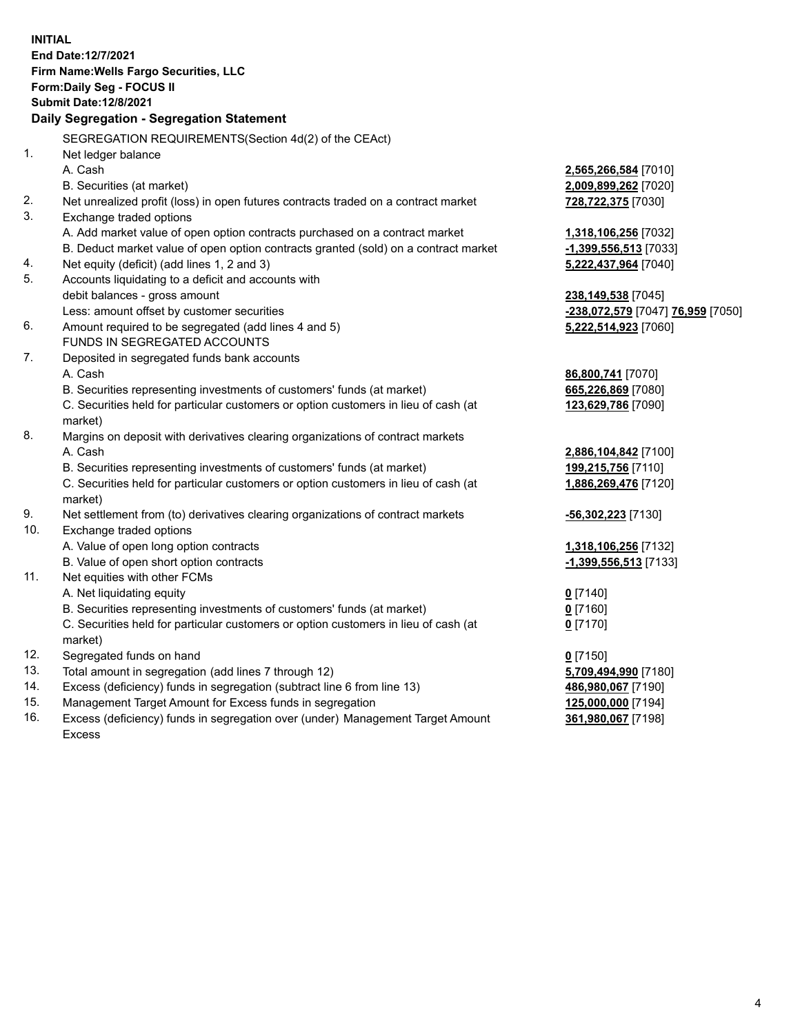**INITIAL End Date:12/7/2021 Firm Name:Wells Fargo Securities, LLC Form:Daily Seg - FOCUS II Submit Date:12/8/2021 Daily Segregation - Segregation Statement** SEGREGATION REQUIREMENTS(Section 4d(2) of the CEAct) 1. Net ledger balance A. Cash **2,565,266,584** [7010] B. Securities (at market) **2,009,899,262** [7020] 2. Net unrealized profit (loss) in open futures contracts traded on a contract market **728,722,375** [7030] 3. Exchange traded options A. Add market value of open option contracts purchased on a contract market **1,318,106,256** [7032] B. Deduct market value of open option contracts granted (sold) on a contract market **-1,399,556,513** [7033] 4. Net equity (deficit) (add lines 1, 2 and 3) **5,222,437,964** [7040] 5. Accounts liquidating to a deficit and accounts with debit balances - gross amount **238,149,538** [7045] Less: amount offset by customer securities **-238,072,579** [7047] **76,959** [7050] 6. Amount required to be segregated (add lines 4 and 5) **5,222,514,923** [7060] FUNDS IN SEGREGATED ACCOUNTS 7. Deposited in segregated funds bank accounts A. Cash **86,800,741** [7070] B. Securities representing investments of customers' funds (at market) **665,226,869** [7080] C. Securities held for particular customers or option customers in lieu of cash (at market) **123,629,786** [7090] 8. Margins on deposit with derivatives clearing organizations of contract markets A. Cash **2,886,104,842** [7100] B. Securities representing investments of customers' funds (at market) **199,215,756** [7110] C. Securities held for particular customers or option customers in lieu of cash (at market) **1,886,269,476** [7120] 9. Net settlement from (to) derivatives clearing organizations of contract markets **-56,302,223** [7130] 10. Exchange traded options A. Value of open long option contracts **1,318,106,256** [7132] B. Value of open short option contracts **-1,399,556,513** [7133] 11. Net equities with other FCMs A. Net liquidating equity **0** [7140] B. Securities representing investments of customers' funds (at market) **0** [7160] C. Securities held for particular customers or option customers in lieu of cash (at market) **0** [7170] 12. Segregated funds on hand **0** [7150] 13. Total amount in segregation (add lines 7 through 12) **5,709,494,990** [7180] 14. Excess (deficiency) funds in segregation (subtract line 6 from line 13) **486,980,067** [7190] 15. Management Target Amount for Excess funds in segregation **125,000,000** [7194]

16. Excess (deficiency) funds in segregation over (under) Management Target Amount Excess

**361,980,067** [7198]